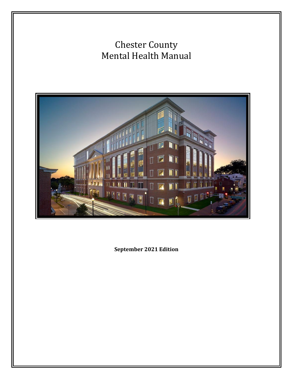# Chester County Mental Health Manual



**September 2021 Edition**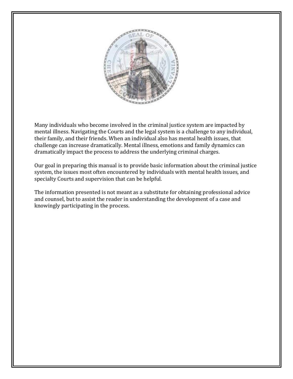

Many individuals who become involved in the criminal justice system are impacted by mental illness. Navigating the Courts and the legal system is a challenge to any individual, their family, and their friends. When an individual also has mental health issues, that challenge can increase dramatically. Mental illness, emotions and family dynamics can dramatically impact the process to address the underlying criminal charges.

Our goal in preparing this manual is to provide basic information about the criminal justice system, the issues most often encountered by individuals with mental health issues, and specialty Courts and supervision that can be helpful.

The information presented is not meant as a substitute for obtaining professional advice and counsel, but to assist the reader in understanding the development of a case and knowingly participating in the process.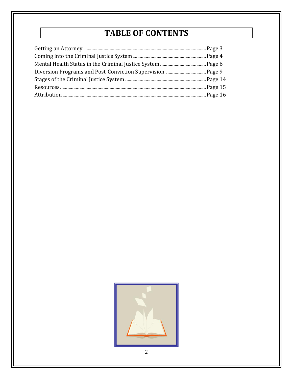## **TABLE OF CONTENTS**

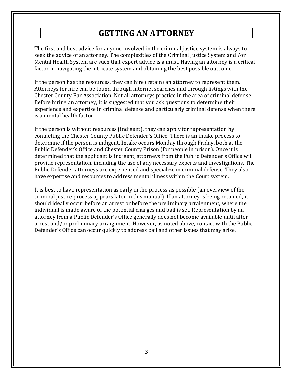### **GETTING AN ATTORNEY**

The first and best advice for anyone involved in the criminal justice system is always to seek the advice of an attorney. The complexities of the Criminal Justice System and /or Mental Health System are such that expert advice is a must. Having an attorney is a critical factor in navigating the intricate system and obtaining the best possible outcome.

If the person has the resources, they can hire (retain) an attorney to represent them. Attorneys for hire can be found through internet searches and through listings with the Chester County Bar Association. Not all attorneys practice in the area of criminal defense. Before hiring an attorney, it is suggested that you ask questions to determine their experience and expertise in criminal defense and particularly criminal defense when there is a mental health factor.

If the person is without resources (indigent), they can apply for representation by contacting the Chester County Public Defender's Office. There is an intake process to determine if the person is indigent. Intake occurs Monday through Friday, both at the Public Defender's Office and Chester County Prison (for people in prison). Once it is determined that the applicant is indigent, attorneys from the Public Defender's Office will provide representation, including the use of any necessary experts and investigations. The Public Defender attorneys are experienced and specialize in criminal defense. They also have expertise and resources to address mental illness within the Court system.

It is best to have representation as early in the process as possible (an overview of the criminal justice process appears later in this manual). If an attorney is being retained, it should ideally occur before an arrest or before the preliminary arraignment, where the individual is made aware of the potential charges and bail is set. Representation by an attorney from a Public Defender's Office generally does not become available until after arrest and/or preliminary arraignment. However, as noted above, contact with the Public Defender's Office can occur quickly to address bail and other issues that may arise.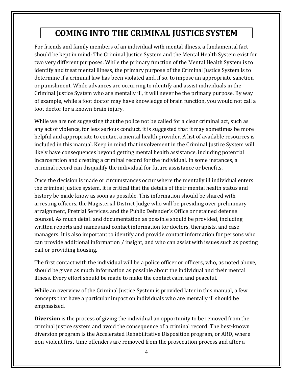## **COMING INTO THE CRIMINAL JUSTICE SYSTEM**

For friends and family members of an individual with mental illness, a fundamental fact should be kept in mind: The Criminal Justice System and the Mental Health System exist for two very different purposes. While the primary function of the Mental Health System is to identify and treat mental illness, the primary purpose of the Criminal Justice System is to determine if a criminal law has been violated and, if so, to impose an appropriate sanction or punishment. While advances are occurring to identify and assist individuals in the Criminal Justice System who are mentally ill, it will never be the primary purpose. By way of example, while a foot doctor may have knowledge of brain function, you would not call a foot doctor for a known brain injury.

While we are not suggesting that the police not be called for a clear criminal act, such as any act of violence, for less serious conduct, it is suggested that it may sometimes be more helpful and appropriate to contact a mental health provider. A list of available resources is included in this manual. Keep in mind that involvement in the Criminal Justice System will likely have consequences beyond getting mental health assistance, including potential incarceration and creating a criminal record for the individual. In some instances, a criminal record can disqualify the individual for future assistance or benefits.

Once the decision is made or circumstances occur where the mentally ill individual enters the criminal justice system, it is critical that the details of their mental health status and history be made know as soon as possible. This information should be shared with arresting officers, the Magisterial District Judge who will be presiding over preliminary arraignment, Pretrial Services, and the Public Defender's Office or retained defense counsel. As much detail and documentation as possible should be provided, including written reports and names and contact information for doctors, therapists, and case managers. It is also important to identify and provide contact information for persons who can provide additional information / insight, and who can assist with issues such as posting bail or providing housing.

The first contact with the individual will be a police officer or officers, who, as noted above, should be given as much information as possible about the individual and their mental illness. Every effort should be made to make the contact calm and peaceful.

While an overview of the Criminal Justice System is provided later in this manual, a few concepts that have a particular impact on individuals who are mentally ill should be emphasized.

**Diversion** is the process of giving the individual an opportunity to be removed from the criminal justice system and avoid the consequence of a criminal record. The best-known diversion program is the Accelerated Rehabilitative Disposition program, or ARD, where non-violent first-time offenders are removed from the prosecution process and after a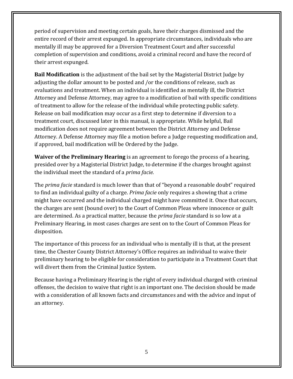period of supervision and meeting certain goals, have their charges dismissed and the entire record of their arrest expunged. In appropriate circumstances, individuals who are mentally ill may be approved for a Diversion Treatment Court and after successful completion of supervision and conditions, avoid a criminal record and have the record of their arrest expunged.

**Bail Modification** is the adjustment of the bail set by the Magisterial District Judge by adjusting the dollar amount to be posted and /or the conditions of release, such as evaluations and treatment. When an individual is identified as mentally ill, the District Attorney and Defense Attorney, may agree to a modification of bail with specific conditions of treatment to allow for the release of the individual while protecting public safety. Release on bail modification may occur as a first step to determine if diversion to a treatment court, discussed later in this manual, is appropriate. While helpful, Bail modification does not require agreement between the District Attorney and Defense Attorney. A Defense Attorney may file a motion before a Judge requesting modification and, if approved, bail modification will be Ordered by the Judge.

**Waiver of the Preliminary Hearing** is an agreement to forego the process of a hearing, presided over by a Magisterial District Judge, to determine if the charges brought against the individual meet the standard of a *prima facie.*

The *prima facie* standard is much lower than that of "beyond a reasonable doubt" required to find an individual guilty of a charge. *Prima facie* only requires a showing that a crime might have occurred and the individual charged might have committed it. Once that occurs, the charges are sent (bound over) to the Court of Common Pleas where innocence or guilt are determined. As a practical matter, because the *prima facie* standard is so low at a Preliminary Hearing, in most cases charges are sent on to the Court of Common Pleas for disposition.

The importance of this process for an individual who is mentally ill is that, at the present time, the Chester County District Attorney's Office requires an individual to waive their preliminary hearing to be eligible for consideration to participate in a Treatment Court that will divert them from the Criminal Justice System.

Because having a Preliminary Hearing is the right of every individual charged with criminal offenses, the decision to waive that right is an important one. The decision should be made with a consideration of all known facts and circumstances and with the advice and input of an attorney.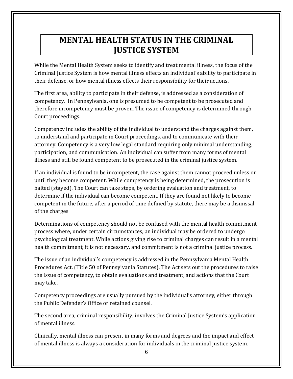## **MENTAL HEALTH STATUS IN THE CRIMINAL JUSTICE SYSTEM**

While the Mental Health System seeks to identify and treat mental illness, the focus of the Criminal Justice System is how mental illness effects an individual's ability to participate in their defense, or how mental illness effects their responsibility for their actions.

The first area, ability to participate in their defense, is addressed as a consideration of competency. In Pennsylvania, one is presumed to be competent to be prosecuted and therefore incompetency must be proven. The issue of competency is determined through Court proceedings.

Competency includes the ability of the individual to understand the charges against them, to understand and participate in Court proceedings, and to communicate with their attorney. Competency is a very low legal standard requiring only minimal understanding, participation, and communication. An individual can suffer from many forms of mental illness and still be found competent to be prosecuted in the criminal justice system.

If an individual is found to be incompetent, the case against them cannot proceed unless or until they become competent. While competency is being determined, the prosecution is halted (stayed). The Court can take steps, by ordering evaluation and treatment, to determine if the individual can become competent. If they are found not likely to become competent in the future, after a period of time defined by statute, there may be a dismissal of the charges

Determinations of competency should not be confused with the mental health commitment process where, under certain circumstances, an individual may be ordered to undergo psychological treatment. While actions giving rise to criminal charges can result in a mental health commitment, it is not necessary, and commitment is not a criminal justice process.

The issue of an individual's competency is addressed in the Pennsylvania Mental Health Procedures Act. (Title 50 of Pennsylvania Statutes). The Act sets out the procedures to raise the issue of competency, to obtain evaluations and treatment, and actions that the Court may take.

Competency proceedings are usually pursued by the individual's attorney, either through the Public Defender's Office or retained counsel.

The second area, criminal responsibility, involves the Criminal Justice System's application of mental illness.

Clinically, mental illness can present in many forms and degrees and the impact and effect of mental illness is always a consideration for individuals in the criminal justice system.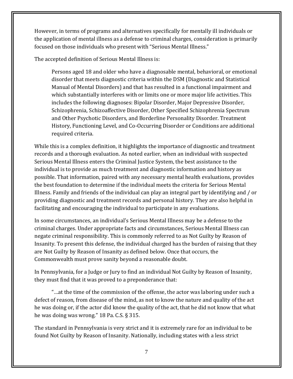However, in terms of programs and alternatives specifically for mentally ill individuals or the application of mental illness as a defense to criminal charges, consideration is primarily focused on those individuals who present with "Serious Mental Illness."

The accepted definition of Serious Mental Illness is:

Persons aged 18 and older who have a diagnosable mental, behavioral, or emotional disorder that meets diagnostic criteria within the DSM (Diagnostic and Statistical Manual of Mental Disorders) and that has resulted in a functional impairment and which substantially interferes with or limits one or more major life activities. This includes the following diagnoses: Bipolar Disorder, Major Depressive Disorder, Schizophrenia, Schizoaffective Disorder, Other Specified Schizophrenia Spectrum and Other Psychotic Disorders, and Borderline Personality Disorder. Treatment History, Functioning Level, and Co-Occurring Disorder or Conditions are additional required criteria.

While this is a complex definition, it highlights the importance of diagnostic and treatment records and a thorough evaluation. As noted earlier, when an individual with suspected Serious Mental Illness enters the Criminal Justice System, the best assistance to the individual is to provide as much treatment and diagnostic information and history as possible. That information, paired with any necessary mental health evaluations, provides the best foundation to determine if the individual meets the criteria for Serious Mental Illness. Family and friends of the individual can play an integral part by identifying and / or providing diagnostic and treatment records and personal history. They are also helpful in facilitating and encouraging the individual to participate in any evaluations.

In some circumstances, an individual's Serious Mental Illness may be a defense to the criminal charges. Under appropriate facts and circumstances, Serious Mental Illness can negate criminal responsibility. This is commonly referred to as Not Guilty by Reason of Insanity. To present this defense, the individual charged has the burden of raising that they are Not Guilty by Reason of Insanity as defined below. Once that occurs, the Commonwealth must prove sanity beyond a reasonable doubt.

In Pennsylvania, for a Judge or Jury to find an individual Not Guilty by Reason of Insanity, they must find that it was proved to a preponderance that:

"…at the time of the commission of the offense, the actor was laboring under such a defect of reason, from disease of the mind, as not to know the nature and quality of the act he was doing or, if the actor did know the quality of the act, that he did not know that what he was doing was wrong." 18 Pa. C.S. § 315.

The standard in Pennsylvania is very strict and it is extremely rare for an individual to be found Not Guilty by Reason of Insanity. Nationally, including states with a less strict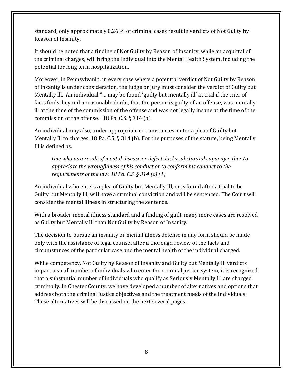standard, only approximately 0.26 % of criminal cases result in verdicts of Not Guilty by Reason of Insanity.

It should be noted that a finding of Not Guilty by Reason of Insanity, while an acquittal of the criminal charges, will bring the individual into the Mental Health System, including the potential for long term hospitalization.

Moreover, in Pennsylvania, in every case where a potential verdict of Not Guilty by Reason of Insanity is under consideration, the Judge or Jury must consider the verdict of Guilty but Mentally Ill. An individual "… may be found 'guilty but mentally ill' at trial if the trier of facts finds, beyond a reasonable doubt, that the person is guilty of an offense, was mentally ill at the time of the commission of the offense and was not legally insane at the time of the commission of the offense." 18 Pa. C.S. § 314 (a)

An individual may also, under appropriate circumstances, enter a plea of Guilty but Mentally Ill to charges. 18 Pa. C.S. § 314 (b). For the purposes of the statute, being Mentally Ill is defined as:

*One who as a result of mental disease or defect, lacks substantial capacity either to appreciate the wrongfulness of his conduct or to conform his conduct to the requirements of the law. 18 Pa. C.S. § 314 (c) (1)*

An individual who enters a plea of Guilty but Mentally Ill, or is found after a trial to be Guilty but Mentally Ill, will have a criminal conviction and will be sentenced. The Court will consider the mental illness in structuring the sentence.

With a broader mental illness standard and a finding of guilt, many more cases are resolved as Guilty but Mentally Ill than Not Guilty by Reason of Insanity.

The decision to pursue an insanity or mental illness defense in any form should be made only with the assistance of legal counsel after a thorough review of the facts and circumstances of the particular case and the mental health of the individual charged.

While competency, Not Guilty by Reason of Insanity and Guilty but Mentally Ill verdicts impact a small number of individuals who enter the criminal justice system, it is recognized that a substantial number of individuals who qualify as Seriously Mentally Ill are charged criminally. In Chester County, we have developed a number of alternatives and options that address both the criminal justice objectives and the treatment needs of the individuals. These alternatives will be discussed on the next several pages.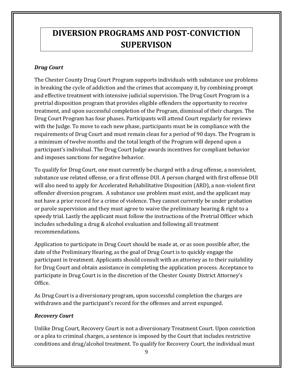## **DIVERSION PROGRAMS AND POST-CONVICTION SUPERVISON**

#### *Drug Court*

The Chester County Drug Court Program supports individuals with substance use problems in breaking the cycle of addiction and the crimes that accompany it, by combining prompt and effective treatment with intensive judicial supervision. The Drug Court Program is a pretrial disposition program that provides eligible offenders the opportunity to receive treatment, and upon successful completion of the Program, dismissal of their charges. The Drug Court Program has four phases. Participants will attend Court regularly for reviews with the Judge. To move to each new phase, participants must be in compliance with the requirements of Drug Court and must remain clean for a period of 90 days. The Program is a minimum of twelve months and the total length of the Program will depend upon a participant's individual. The Drug Court Judge awards incentives for compliant behavior and imposes sanctions for negative behavior.

To qualify for Drug Court, one must currently be charged with a drug offense, a nonviolent, substance use related offense, or a first offense DUI. A person charged with first offense DUI will also need to apply for Accelerated Rehabilitative Disposition (ARD), a non-violent first offender diversion program. A substance use problem must exist, and the applicant may not have a prior record for a crime of violence. They cannot currently be under probation or parole supervision and they must agree to waive the preliminary hearing & right to a speedy trial. Lastly the applicant must follow the instructions of the Pretrial Officer which includes scheduling a drug & alcohol evaluation and following all treatment recommendations.

Application to participate in Drug Court should be made at, or as soon possible after, the date of the Preliminary Hearing, as the goal of Drug Court is to quickly engage the participant in treatment. Applicants should consult with an attorney as to their suitability for Drug Court and obtain assistance in completing the application process. Acceptance to participate in Drug Court is in the discretion of the Chester County District Attorney's Office.

As Drug Court is a diversionary program, upon successful completion the charges are withdrawn and the participant's record for the offenses and arrest expunged.

#### *Recovery Court*

Unlike Drug Court, Recovery Court is not a diversionary Treatment Court. Upon conviction or a plea to criminal charges, a sentence is imposed by the Court that includes restrictive conditions and drug/alcohol treatment. To qualify for Recovery Court, the individual must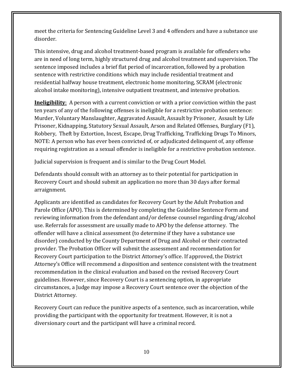meet the criteria for Sentencing Guideline Level 3 and 4 offenders and have a substance use disorder.

This intensive, drug and alcohol treatment-based program is available for offenders who are in need of long term, highly structured drug and alcohol treatment and supervision. The sentence imposed includes a brief flat period of incarceration, followed by a probation sentence with restrictive conditions which may include residential treatment and residential halfway house treatment, electronic home monitoring, SCRAM (electronic alcohol intake monitoring), intensive outpatient treatment, and intensive probation.

**Ineligibility**: A person with a current conviction or with a prior conviction within the past ten years of any of the following offenses is ineligible for a restrictive probation sentence: Murder, Voluntary Manslaughter, Aggravated Assault, Assault by Prisoner, Assault by Life Prisoner, Kidnapping, Statutory Sexual Assault, Arson and Related Offenses, Burglary (F1), Robbery, Theft by Extortion, Incest, Escape, Drug Trafficking, Trafficking Drugs To Minors, NOTE: A person who has ever been convicted of, or adjudicated delinquent of, any offense requiring registration as a sexual offender is ineligible for a restrictive probation sentence.

Judicial supervision is frequent and is similar to the Drug Court Model.

Defendants should consult with an attorney as to their potential for participation in Recovery Court and should submit an application no more than 30 days after formal arraignment.

Applicants are identified as candidates for Recovery Court by the Adult Probation and Parole Office (APO). This is determined by completing the Guideline Sentence Form and reviewing information from the defendant and/or defense counsel regarding drug/alcohol use. Referrals for assessment are usually made to APO by the defense attorney. The offender will have a clinical assessment (to determine if they have a substance use disorder) conducted by the County Department of Drug and Alcohol or their contracted provider. The Probation Officer will submit the assessment and recommendation for Recovery Court participation to the District Attorney's office. If approved, the District Attorney's Office will recommend a disposition and sentence consistent with the treatment recommendation in the clinical evaluation and based on the revised Recovery Court guidelines. However, since Recovery Court is a sentencing option, in appropriate circumstances, a Judge may impose a Recovery Court sentence over the objection of the District Attorney.

Recovery Court can reduce the punitive aspects of a sentence, such as incarceration, while providing the participant with the opportunity for treatment. However, it is not a diversionary court and the participant will have a criminal record.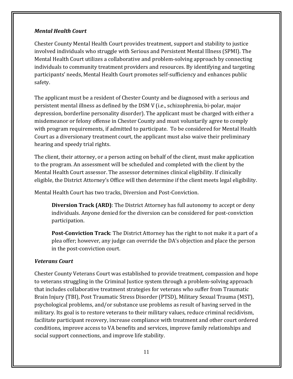#### *Mental Health Court*

Chester County Mental Health Court provides treatment, support and stability to justice involved individuals who struggle with Serious and Persistent Mental Illness (SPMI). The Mental Health Court utilizes a collaborative and problem-solving approach by connecting individuals to community treatment providers and resources. By identifying and targeting participants' needs, Mental Health Court promotes self-sufficiency and enhances public safety.

The applicant must be a resident of Chester County and be diagnosed with a serious and persistent mental illness as defined by the DSM V (i.e., schizophrenia, bi-polar, major depression, borderline personality disorder). The applicant must be charged with either a misdemeanor or felony offense in Chester County and must voluntarily agree to comply with program requirements, if admitted to participate. To be considered for Mental Health Court as a diversionary treatment court, the applicant must also waive their preliminary hearing and speedy trial rights.

The client, their attorney, or a person acting on behalf of the client, must make application to the program. An assessment will be scheduled and completed with the client by the Mental Health Court assessor. The assessor determines clinical eligibility. If clinically eligible, the District Attorney's Office will then determine if the client meets legal eligibility.

Mental Health Court has two tracks, Diversion and Post-Conviction.

**Diversion Track (ARD)**: The District Attorney has full autonomy to accept or deny individuals. Anyone denied for the diversion can be considered for post-conviction participation.

**Post-Conviction Track**: The District Attorney has the right to not make it a part of a plea offer; however, any judge can override the DA's objection and place the person in the post-conviction court.

#### *Veterans Court*

Chester County Veterans Court was established to provide treatment, compassion and hope to veterans struggling in the Criminal Justice system through a problem-solving approach that includes collaborative treatment strategies for veterans who suffer from Traumatic Brain Injury (TBI), Post Traumatic Stress Disorder (PTSD), Military Sexual Trauma (MST), psychological problems, and/or substance use problems as result of having served in the military. Its goal is to restore veterans to their military values, reduce criminal recidivism, facilitate participant recovery, increase compliance with treatment and other court ordered conditions, improve access to VA benefits and services, improve family relationships and social support connections, and improve life stability.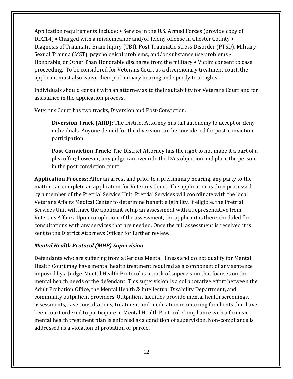Application requirements include: • Service in the U.S. Armed Forces (provide copy of DD214) • Charged with a misdemeanor and/or felony offense in Chester County • Diagnosis of Traumatic Brain Injury (TBI), Post Traumatic Stress Disorder (PTSD), Military Sexual Trauma (MST), psychological problems, and/or substance use problems • Honorable, or Other Than Honorable discharge from the military • Victim consent to case proceeding. To be considered for Veterans Court as a diversionary treatment court, the applicant must also waive their preliminary hearing and speedy trial rights.

Individuals should consult with an attorney as to their suitability for Veterans Court and for assistance in the application process.

Veterans Court has two tracks, Diversion and Post-Conviction.

**Diversion Track (ARD)**: The District Attorney has full autonomy to accept or deny individuals. Anyone denied for the diversion can be considered for post-conviction participation.

**Post-Conviction Track**: The District Attorney has the right to not make it a part of a plea offer; however, any judge can override the DA's objection and place the person in the post-conviction court.

**Application Process**: After an arrest and prior to a preliminary hearing, any party to the matter can complete an application for Veterans Court. The application is then processed by a member of the Pretrial Service Unit. Pretrial Services will coordinate with the local Veterans Affairs Medical Center to determine benefit eligibility. If eligible, the Pretrial Services Unit will have the applicant setup an assessment with a representative from Veterans Affairs. Upon completion of the assessment, the applicant is then scheduled for consultations with any services that are needed. Once the full assessment is received it is sent to the District Attorneys Officer for further review.

#### *Mental Health Protocol (MHP) Supervision*

Defendants who are suffering from a Serious Mental Illness and do not qualify for Mental Health Court may have mental health treatment required as a component of any sentence imposed by a Judge. Mental Health Protocol is a track of supervision that focuses on the mental health needs of the defendant. This supervision is a collaborative effort between the Adult Probation Office, the Mental Health & Intellectual Disability Department, and community outpatient providers. Outpatient facilities provide mental health screenings, assessments, case consultations, treatment and medication monitoring for clients that have been court ordered to participate in Mental Health Protocol. Compliance with a forensic mental health treatment plan is enforced as a condition of supervision. Non-compliance is addressed as a violation of probation or parole.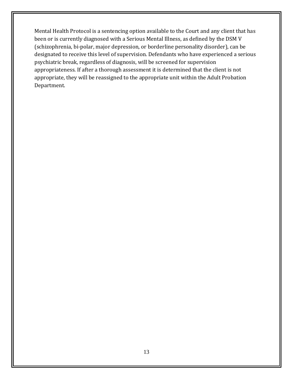Mental Health Protocol is a sentencing option available to the Court and any client that has been or is currently diagnosed with a Serious Mental Illness, as defined by the DSM V (schizophrenia, bi-polar, major depression, or borderline personality disorder), can be designated to receive this level of supervision. Defendants who have experienced a serious psychiatric break, regardless of diagnosis, will be screened for supervision appropriateness. If after a thorough assessment it is determined that the client is not appropriate, they will be reassigned to the appropriate unit within the Adult Probation Department.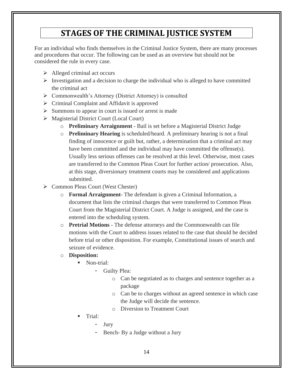### **STAGES OF THE CRIMINAL JUSTICE SYSTEM**

For an individual who finds themselves in the Criminal Justice System, there are many processes and procedures that occur. The following can be used as an overview but should not be considered the rule in every case.

- ➢ Alleged criminal act occurs
- $\triangleright$  Investigation and a decision to charge the individual who is alleged to have committed the criminal act
- ➢ Commonwealth's Attorney (District Attorney) is consulted
- ➢ Criminal Complaint and Affidavit is approved
- $\triangleright$  Summons to appear in court is issued or arrest is made
- ➢ Magisterial District Court (Local Court)
	- o **Preliminary Arraignment** Bail is set before a Magisterial District Judge
	- o **Preliminary Hearing** is scheduled/heard. A preliminary hearing is not a final finding of innocence or guilt but, rather, a determination that a criminal act may have been committed and the individual may have committed the offense(s). Usually less serious offenses can be resolved at this level. Otherwise, most cases are transferred to the Common Pleas Court for further action/ prosecution. Also, at this stage, diversionary treatment courts may be considered and applications submitted.
- ➢ Common Pleas Court (West Chester)
	- o **Formal Arraignment** The defendant is given a Criminal Information, a document that lists the criminal charges that were transferred to Common Pleas Court from the Magisterial District Court. A Judge is assigned, and the case is entered into the scheduling system.
	- o **Pretrial Motions** The defense attorneys and the Commonwealth can file motions with the Court to address issues related to the case that should be decided before trial or other disposition. For example, Constitutional issues of search and seizure of evidence.
	- o **Disposition:**
		- Non-trial:
			- Guilty Plea:
				- o Can be negotiated as to charges and sentence together as a package
				- o Can be to charges without an agreed sentence in which case the Judge will decide the sentence.
				- o Diversion to Treatment Court
		- Trial:
			- Jury
			- Bench- By a Judge without a Jury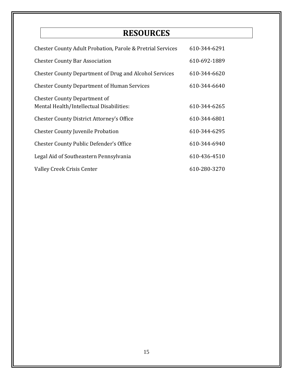## **RESOURCES**

| <b>Chester County Adult Probation, Parole &amp; Pretrial Services</b>           | 610-344-6291 |
|---------------------------------------------------------------------------------|--------------|
| <b>Chester County Bar Association</b>                                           | 610-692-1889 |
| <b>Chester County Department of Drug and Alcohol Services</b>                   | 610-344-6620 |
| <b>Chester County Department of Human Services</b>                              | 610-344-6640 |
| <b>Chester County Department of</b><br>Mental Health/Intellectual Disabilities: | 610-344-6265 |
| <b>Chester County District Attorney's Office</b>                                | 610-344-6801 |
| <b>Chester County Juvenile Probation</b>                                        | 610-344-6295 |
| <b>Chester County Public Defender's Office</b>                                  | 610-344-6940 |
| Legal Aid of Southeastern Pennsylvania                                          | 610-436-4510 |
| <b>Valley Creek Crisis Center</b>                                               | 610-280-3270 |